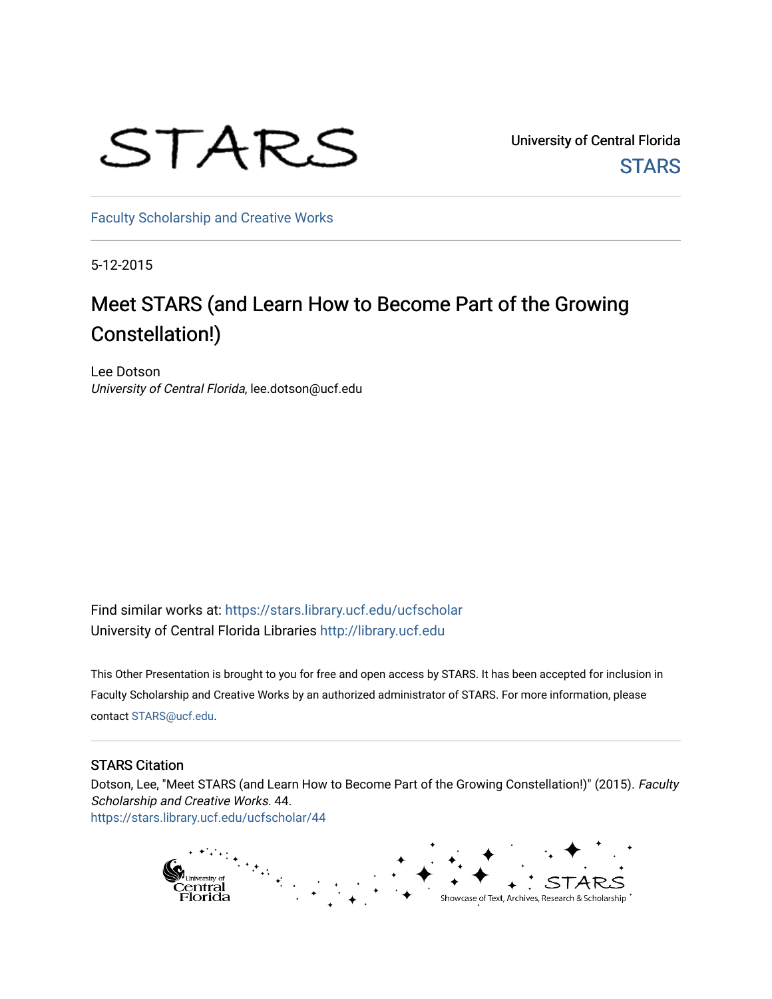

University of Central Florida **STARS** 

[Faculty Scholarship and Creative Works](https://stars.library.ucf.edu/ucfscholar) 

5-12-2015

#### Meet STARS (and Learn How to Become Part of the Growing Constellation!)

Lee Dotson University of Central Florida, lee.dotson@ucf.edu

Find similar works at: <https://stars.library.ucf.edu/ucfscholar> University of Central Florida Libraries [http://library.ucf.edu](http://library.ucf.edu/) 

This Other Presentation is brought to you for free and open access by STARS. It has been accepted for inclusion in Faculty Scholarship and Creative Works by an authorized administrator of STARS. For more information, please contact [STARS@ucf.edu.](mailto:STARS@ucf.edu)

#### STARS Citation

Dotson, Lee, "Meet STARS (and Learn How to Become Part of the Growing Constellation!)" (2015). Faculty Scholarship and Creative Works. 44. [https://stars.library.ucf.edu/ucfscholar/44](https://stars.library.ucf.edu/ucfscholar/44?utm_source=stars.library.ucf.edu%2Fucfscholar%2F44&utm_medium=PDF&utm_campaign=PDFCoverPages) 

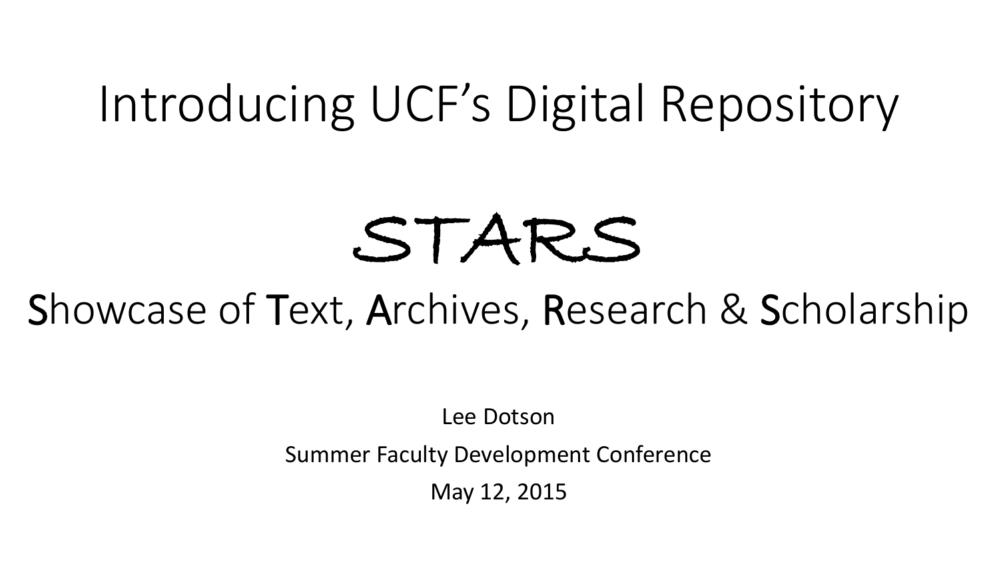## Introducing UCF's Digital Repository

# STARS

#### Showcase of Text, Archives, Research & Scholarship

Lee Dotson

Summer Faculty Development Conference

May 12, 2015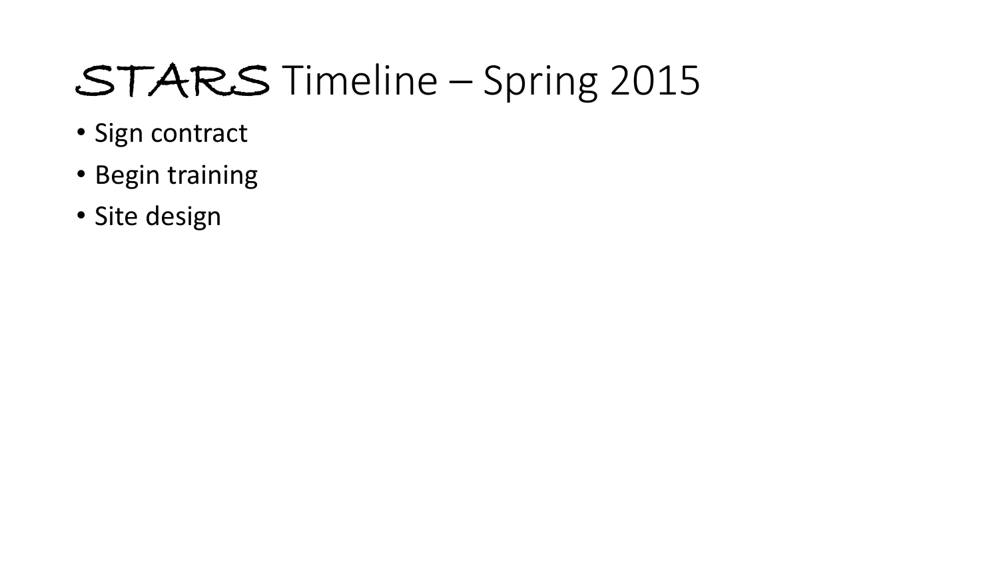## STARS Timeline – Spring 2015

- Sign contract
- Begin training
- Site design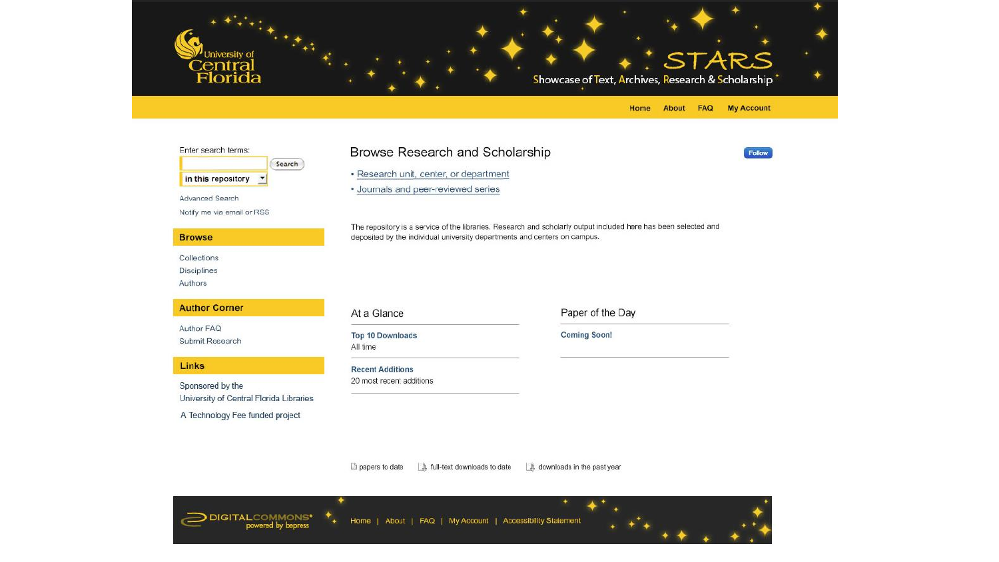

| Enter search terms:<br>Search                                                                  | Browse Research and Scholarship<br>· Research unit, center, or department<br>· Journals and peer-reviewed series                                                                             |                     | <b>Follow</b> |
|------------------------------------------------------------------------------------------------|----------------------------------------------------------------------------------------------------------------------------------------------------------------------------------------------|---------------------|---------------|
| in this repository<br>$\overline{\phantom{a}}$                                                 |                                                                                                                                                                                              |                     |               |
| Advanced Search<br>Notify me via email or RSS                                                  |                                                                                                                                                                                              |                     |               |
| <b>Browse</b>                                                                                  | The repository is a service of the libraries. Research and scholarly output included here has been selected and<br>deposited by the individual university departments and centers on campus. |                     |               |
| Collections<br>Disciplines<br>Authors                                                          |                                                                                                                                                                                              |                     |               |
| <b>Author Corner</b>                                                                           | At a Glance                                                                                                                                                                                  | Paper of the Day    |               |
| Author FAQ<br>Submit Research                                                                  | <b>Top 10 Downloads</b><br>All time                                                                                                                                                          | <b>Coming Soon!</b> |               |
| <b>Links</b>                                                                                   | <b>Recent Additions</b>                                                                                                                                                                      |                     |               |
| Sponsored by the<br>University of Central Florida Libraries<br>A Technology Fee funded project | 20 most recent additions                                                                                                                                                                     |                     |               |

□ papers to date □ b, full-text downloads to date □ b, downloads in the past year

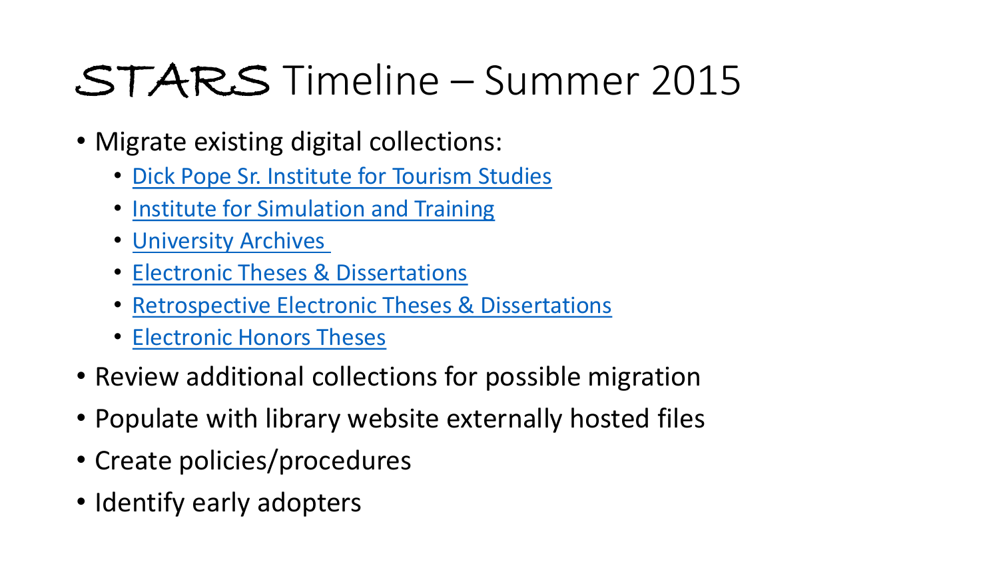## STARS Timeline – Summer 2015

- Migrate existing digital collections:
	- [Dick Pope Sr. Institute](http://digital.library.ucf.edu/cdm/landingpage/collection/DPI) for Tourism Studies
	- [Institute for Simulation and Training](http://digital.library.ucf.edu/cdm/landingpage/collection/IST)
	- [University Archives](http://digital.library.ucf.edu/cdm/landingpage/collection/ARC)
	- [Electronic Theses & Dissertations](http://digital.library.ucf.edu/cdm/landingpage/collection/ETD)
	- [Retrospective Electronic Theses & Dissertations](http://digital.library.ucf.edu/cdm/landingpage/collection/RTD)
	- [Electronic Honors Theses](http://digital.library.ucf.edu/cdm/landingpage/collection/ETH)
- Review additional collections for possible migration
- Populate with library website externally hosted files
- Create policies/procedures
- Identify early adopters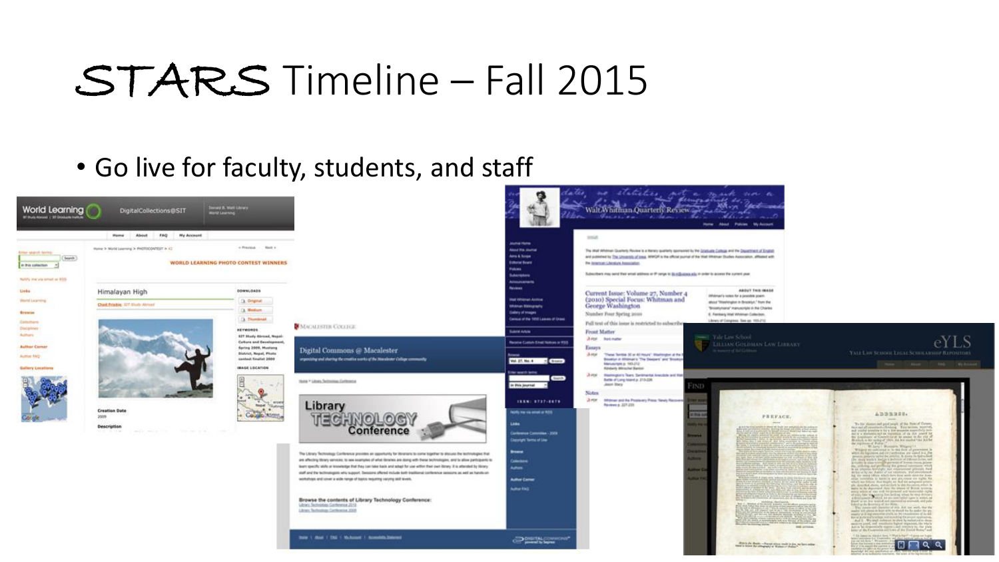#### STARS Timeline – Fall 2015

#### • Go live for faculty, students, and staff



eYLS

 $\Box$   $\alpha$